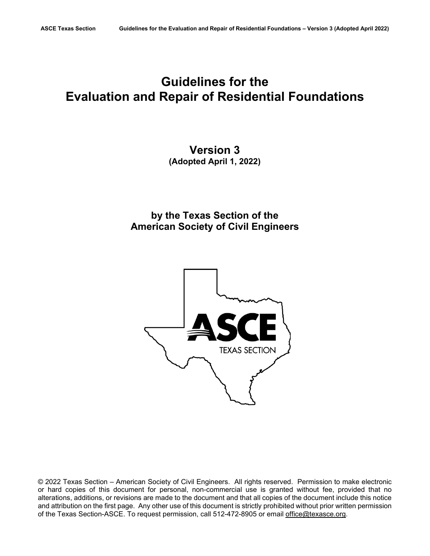# **Guidelines for the Evaluation and Repair of Residential Foundations**

# **Version 3 (Adopted April 1, 2022)**

**by the Texas Section of the American Society of Civil Engineers**



© 2022 Texas Section – American Society of Civil Engineers. All rights reserved. Permission to make electronic or hard copies of this document for personal, non-commercial use is granted without fee, provided that no alterations, additions, or revisions are made to the document and that all copies of the document include this notice and attribution on the first page. Any other use of this document is strictly prohibited without prior written permission of the Texas Section-ASCE. To request permission, call 512-472-8905 or email [office@texasce.org.](mailto:office@texasce.org)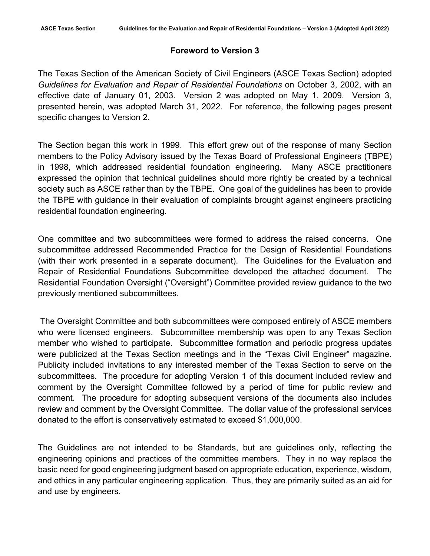#### **Foreword to Version 3**

The Texas Section of the American Society of Civil Engineers (ASCE Texas Section) adopted *Guidelines for Evaluation and Repair of Residential Foundations* on October 3, 2002, with an effective date of January 01, 2003. Version 2 was adopted on May 1, 2009. Version 3, presented herein, was adopted March 31, 2022. For reference, the following pages present specific changes to Version 2.

The Section began this work in 1999. This effort grew out of the response of many Section members to the Policy Advisory issued by the Texas Board of Professional Engineers (TBPE) in 1998, which addressed residential foundation engineering. Many ASCE practitioners expressed the opinion that technical guidelines should more rightly be created by a technical society such as ASCE rather than by the TBPE. One goal of the guidelines has been to provide the TBPE with guidance in their evaluation of complaints brought against engineers practicing residential foundation engineering.

One committee and two subcommittees were formed to address the raised concerns. One subcommittee addressed Recommended Practice for the Design of Residential Foundations (with their work presented in a separate document). The Guidelines for the Evaluation and Repair of Residential Foundations Subcommittee developed the attached document. The Residential Foundation Oversight ("Oversight") Committee provided review guidance to the two previously mentioned subcommittees.

The Oversight Committee and both subcommittees were composed entirely of ASCE members who were licensed engineers. Subcommittee membership was open to any Texas Section member who wished to participate. Subcommittee formation and periodic progress updates were publicized at the Texas Section meetings and in the "Texas Civil Engineer" magazine. Publicity included invitations to any interested member of the Texas Section to serve on the subcommittees. The procedure for adopting Version 1 of this document included review and comment by the Oversight Committee followed by a period of time for public review and comment. The procedure for adopting subsequent versions of the documents also includes review and comment by the Oversight Committee. The dollar value of the professional services donated to the effort is conservatively estimated to exceed \$1,000,000.

The Guidelines are not intended to be Standards, but are guidelines only, reflecting the engineering opinions and practices of the committee members. They in no way replace the basic need for good engineering judgment based on appropriate education, experience, wisdom, and ethics in any particular engineering application. Thus, they are primarily suited as an aid for and use by engineers.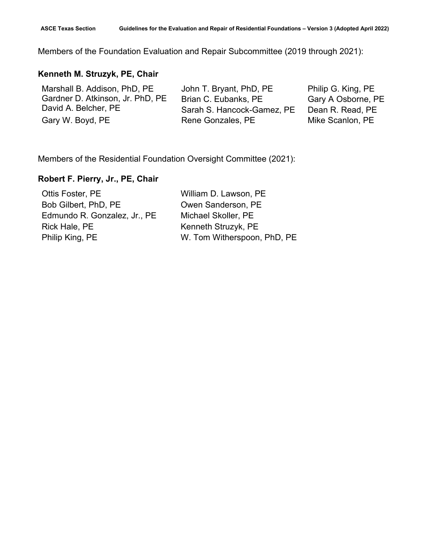Members of the Foundation Evaluation and Repair Subcommittee (2019 through 2021):

# **Kenneth M. Struzyk, PE, Chair**

Marshall B. Addison, PhD, PE Gardner D. Atkinson, Jr. PhD, PE David A. Belcher, PE Gary W. Boyd, PE **Rene Gonzales, PE** Mike Scanlon, PE

John T. Bryant, PhD, PE Brian C. Eubanks, PE Sarah S. Hancock-Gamez, PE Philip G. King, PE Gary A Osborne, PE Dean R. Read, PE

Members of the Residential Foundation Oversight Committee (2021):

#### **Robert F. Pierry, Jr., PE, Chair**

| William D. Lawson, PE       |
|-----------------------------|
| Owen Sanderson, PE          |
| Michael Skoller, PE         |
| Kenneth Struzyk, PE         |
| W. Tom Witherspoon, PhD, PE |
|                             |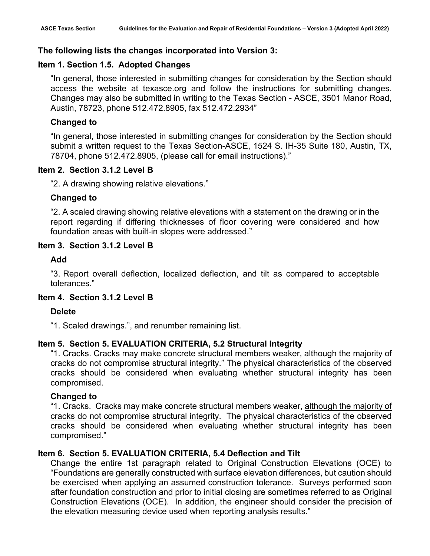# **The following lists the changes incorporated into Version 3:**

# **Item 1. Section 1.5. Adopted Changes**

"In general, those interested in submitting changes for consideration by the Section should access the website at texasce.org and follow the instructions for submitting changes. Changes may also be submitted in writing to the Texas Section - ASCE, 3501 Manor Road, Austin, 78723, phone 512.472.8905, fax 512.472.2934"

# **Changed to**

"In general, those interested in submitting changes for consideration by the Section should submit a written request to the Texas Section-ASCE, 1524 S. IH-35 Suite 180, Austin, TX, 78704, phone 512.472.8905, (please call for email instructions)."

# **Item 2. Section 3.1.2 Level B**

"2. A drawing showing relative elevations."

# **Changed to**

"2. A scaled drawing showing relative elevations with a statement on the drawing or in the report regarding if differing thicknesses of floor covering were considered and how foundation areas with built-in slopes were addressed."

# **Item 3. Section 3.1.2 Level B**

# **Add**

"3. Report overall deflection, localized deflection, and tilt as compared to acceptable tolerances."

# **Item 4. Section 3.1.2 Level B**

# **Delete**

"1. Scaled drawings.", and renumber remaining list.

# **Item 5. Section 5. EVALUATION CRITERIA, 5.2 Structural Integrity**

"1. Cracks. Cracks may make concrete structural members weaker, although the majority of cracks do not compromise structural integrity." The physical characteristics of the observed cracks should be considered when evaluating whether structural integrity has been compromised.

# **Changed to**

"1. Cracks. Cracks may make concrete structural members weaker, although the majority of cracks do not compromise structural integrity. The physical characteristics of the observed cracks should be considered when evaluating whether structural integrity has been compromised."

# **Item 6. Section 5. EVALUATION CRITERIA, 5.4 Deflection and Tilt**

Change the entire 1st paragraph related to Original Construction Elevations (OCE) to "Foundations are generally constructed with surface elevation differences, but caution should be exercised when applying an assumed construction tolerance. Surveys performed soon after foundation construction and prior to initial closing are sometimes referred to as Original Construction Elevations (OCE). In addition, the engineer should consider the precision of the elevation measuring device used when reporting analysis results."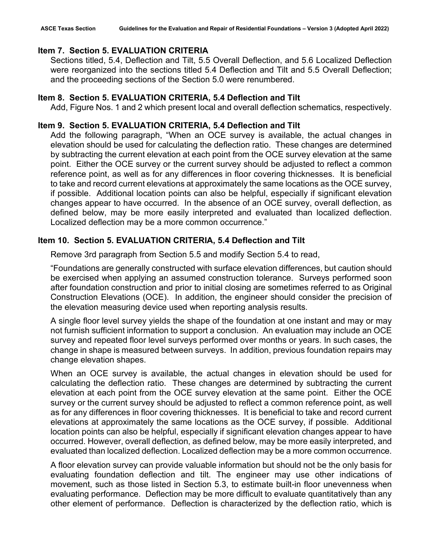# **Item 7. Section 5. EVALUATION CRITERIA**

Sections titled, 5.4, Deflection and Tilt, 5.5 Overall Deflection, and 5.6 Localized Deflection were reorganized into the sections titled 5.4 Deflection and Tilt and 5.5 Overall Deflection; and the proceeding sections of the Section 5.0 were renumbered.

# **Item 8. Section 5. EVALUATION CRITERIA, 5.4 Deflection and Tilt**

Add, Figure Nos. 1 and 2 which present local and overall deflection schematics, respectively.

# **Item 9. Section 5. EVALUATION CRITERIA, 5.4 Deflection and Tilt**

Add the following paragraph, "When an OCE survey is available, the actual changes in elevation should be used for calculating the deflection ratio. These changes are determined by subtracting the current elevation at each point from the OCE survey elevation at the same point. Either the OCE survey or the current survey should be adjusted to reflect a common reference point, as well as for any differences in floor covering thicknesses. It is beneficial to take and record current elevations at approximately the same locations as the OCE survey, if possible. Additional location points can also be helpful, especially if significant elevation changes appear to have occurred. In the absence of an OCE survey, overall deflection, as defined below, may be more easily interpreted and evaluated than localized deflection. Localized deflection may be a more common occurrence."

# **Item 10. Section 5. EVALUATION CRITERIA, 5.4 Deflection and Tilt**

Remove 3rd paragraph from Section 5.5 and modify Section 5.4 to read,

"Foundations are generally constructed with surface elevation differences, but caution should be exercised when applying an assumed construction tolerance. Surveys performed soon after foundation construction and prior to initial closing are sometimes referred to as Original Construction Elevations (OCE). In addition, the engineer should consider the precision of the elevation measuring device used when reporting analysis results.

A single floor level survey yields the shape of the foundation at one instant and may or may not furnish sufficient information to support a conclusion. An evaluation may include an OCE survey and repeated floor level surveys performed over months or years. In such cases, the change in shape is measured between surveys. In addition, previous foundation repairs may change elevation shapes.

When an OCE survey is available, the actual changes in elevation should be used for calculating the deflection ratio. These changes are determined by subtracting the current elevation at each point from the OCE survey elevation at the same point. Either the OCE survey or the current survey should be adjusted to reflect a common reference point, as well as for any differences in floor covering thicknesses. It is beneficial to take and record current elevations at approximately the same locations as the OCE survey, if possible. Additional location points can also be helpful, especially if significant elevation changes appear to have occurred. However, overall deflection, as defined below, may be more easily interpreted, and evaluated than localized deflection. Localized deflection may be a more common occurrence.

A floor elevation survey can provide valuable information but should not be the only basis for evaluating foundation deflection and tilt. The engineer may use other indications of movement, such as those listed in Section 5.3, to estimate built-in floor unevenness when evaluating performance. Deflection may be more difficult to evaluate quantitatively than any other element of performance. Deflection is characterized by the deflection ratio, which is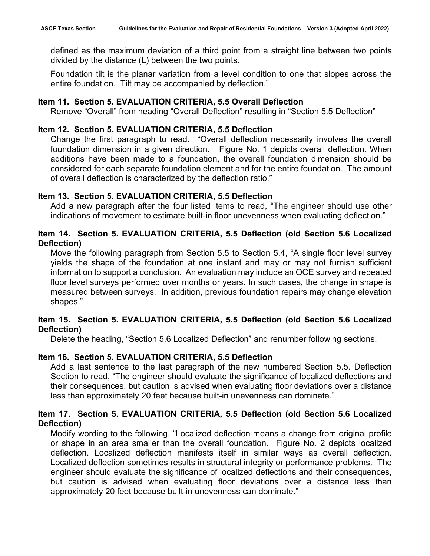defined as the maximum deviation of a third point from a straight line between two points divided by the distance (L) between the two points.

Foundation tilt is the planar variation from a level condition to one that slopes across the entire foundation. Tilt may be accompanied by deflection."

#### **Item 11. Section 5. EVALUATION CRITERIA, 5.5 Overall Deflection**

Remove "Overall" from heading "Overall Deflection" resulting in "Section 5.5 Deflection"

#### **Item 12. Section 5. EVALUATION CRITERIA, 5.5 Deflection**

Change the first paragraph to read. "Overall deflection necessarily involves the overall foundation dimension in a given direction. Figure No. 1 depicts overall deflection. When additions have been made to a foundation, the overall foundation dimension should be considered for each separate foundation element and for the entire foundation. The amount of overall deflection is characterized by the deflection ratio."

#### **Item 13. Section 5. EVALUATION CRITERIA, 5.5 Deflection**

Add a new paragraph after the four listed items to read, "The engineer should use other indications of movement to estimate built-in floor unevenness when evaluating deflection."

# **Item 14. Section 5. EVALUATION CRITERIA, 5.5 Deflection (old Section 5.6 Localized Deflection)**

Move the following paragraph from Section 5.5 to Section 5.4, "A single floor level survey yields the shape of the foundation at one instant and may or may not furnish sufficient information to support a conclusion. An evaluation may include an OCE survey and repeated floor level surveys performed over months or years. In such cases, the change in shape is measured between surveys. In addition, previous foundation repairs may change elevation shapes."

# **Item 15. Section 5. EVALUATION CRITERIA, 5.5 Deflection (old Section 5.6 Localized Deflection)**

Delete the heading, "Section 5.6 Localized Deflection" and renumber following sections.

# **Item 16. Section 5. EVALUATION CRITERIA, 5.5 Deflection**

Add a last sentence to the last paragraph of the new numbered Section 5.5. Deflection Section to read, "The engineer should evaluate the significance of localized deflections and their consequences, but caution is advised when evaluating floor deviations over a distance less than approximately 20 feet because built-in unevenness can dominate."

# **Item 17. Section 5. EVALUATION CRITERIA, 5.5 Deflection (old Section 5.6 Localized Deflection)**

Modify wording to the following, "Localized deflection means a change from original profile or shape in an area smaller than the overall foundation. Figure No. 2 depicts localized deflection. Localized deflection manifests itself in similar ways as overall deflection. Localized deflection sometimes results in structural integrity or performance problems. The engineer should evaluate the significance of localized deflections and their consequences, but caution is advised when evaluating floor deviations over a distance less than approximately 20 feet because built-in unevenness can dominate."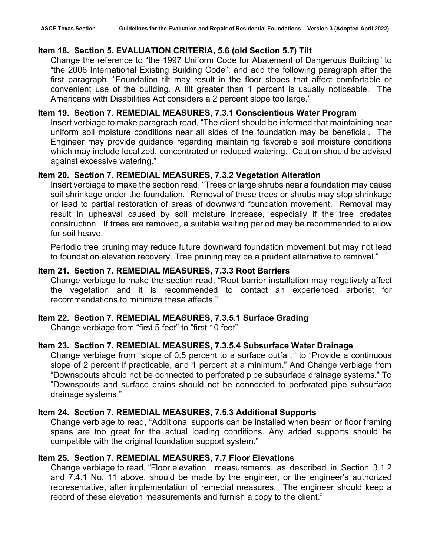#### **Item 18. Section 5. EVALUATION CRITERIA, 5.6 (old Section 5.7) Tilt**

Change the reference to "the 1997 Uniform Code for Abatement of Dangerous Building" to "the 2006 International Existing Building Code"; and add the following paragraph after the first paragraph, "Foundation tilt may result in the floor slopes that affect comfortable or convenient use of the building. A tilt greater than 1 percent is usually noticeable. The Americans with Disabilities Act considers a 2 percent slope too large."

# **Item 19. Section 7. REMEDIAL MEASURES, 7.3.1 Conscientious Water Program**

Insert verbiage to make paragraph read, "The client should be informed that maintaining near uniform soil moisture conditions near all sides of the foundation may be beneficial. The Engineer may provide guidance regarding maintaining favorable soil moisture conditions which may include localized, concentrated or reduced watering. Caution should be advised against excessive watering."

#### **Item 20. Section 7. REMEDIAL MEASURES, 7.3.2 Vegetation Alteration**

Insert verbiage to make the section read, "Trees or large shrubs near a foundation may cause soil shrinkage under the foundation. Removal of these trees or shrubs may stop shrinkage or lead to partial restoration of areas of downward foundation movement. Removal may result in upheaval caused by soil moisture increase, especially if the tree predates construction. If trees are removed, a suitable waiting period may be recommended to allow for soil heave.

Periodic tree pruning may reduce future downward foundation movement but may not lead to foundation elevation recovery. Tree pruning may be a prudent alternative to removal."

# **Item 21. Section 7. REMEDIAL MEASURES, 7.3.3 Root Barriers**

Change verbiage to make the section read, "Root barrier installation may negatively affect the vegetation and it is recommended to contact an experienced arborist for recommendations to minimize these affects."

#### **Item 22. Section 7. REMEDIAL MEASURES, 7.3.5.1 Surface Grading**

Change verbiage from "first 5 feet" to "first 10 feet".

#### **Item 23. Section 7. REMEDIAL MEASURES, 7.3.5.4 Subsurface Water Drainage**

Change verbiage from "slope of 0.5 percent to a surface outfall." to "Provide a continuous slope of 2 percent if practicable, and 1 percent at a minimum." And Change verbiage from "Downspouts should not be connected to perforated pipe subsurface drainage systems." To "Downspouts and surface drains should not be connected to perforated pipe subsurface drainage systems."

#### **Item 24. Section 7. REMEDIAL MEASURES, 7.5.3 Additional Supports**

Change verbiage to read, "Additional supports can be installed when beam or floor framing spans are too great for the actual loading conditions. Any added supports should be compatible with the original foundation support system."

#### **Item 25. Section 7. REMEDIAL MEASURES, 7.7 Floor Elevations**

Change verbiage to read, "Floor elevation measurements, as described in Section 3.1.2 and 7.4.1 No. 11 above, should be made by the engineer, or the engineer's authorized representative, after implementation of remedial measures. The engineer should keep a record of these elevation measurements and furnish a copy to the client."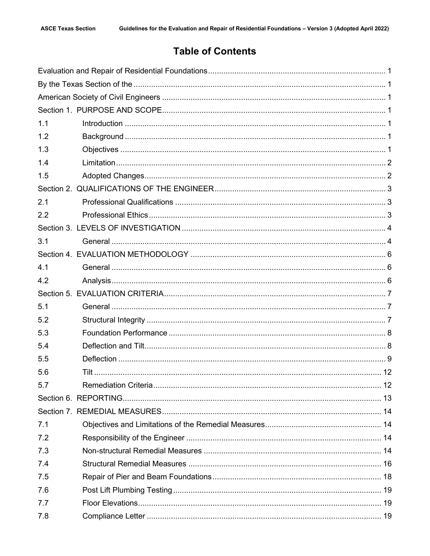# **Table of Contents**

| 1.1 |  |
|-----|--|
| 1.2 |  |
| 1.3 |  |
| 1.4 |  |
| 1.5 |  |
|     |  |
| 2.1 |  |
| 2.2 |  |
|     |  |
| 3.1 |  |
|     |  |
| 4.1 |  |
| 4.2 |  |
|     |  |
| 5.1 |  |
| 5.2 |  |
| 5.3 |  |
| 5.4 |  |
| 5.5 |  |
| 5.6 |  |
| 5.7 |  |
|     |  |
|     |  |
| 7.1 |  |
| 7.2 |  |
| 7.3 |  |
| 7.4 |  |
| 7.5 |  |
| 7.6 |  |
| 7.7 |  |
| 7.8 |  |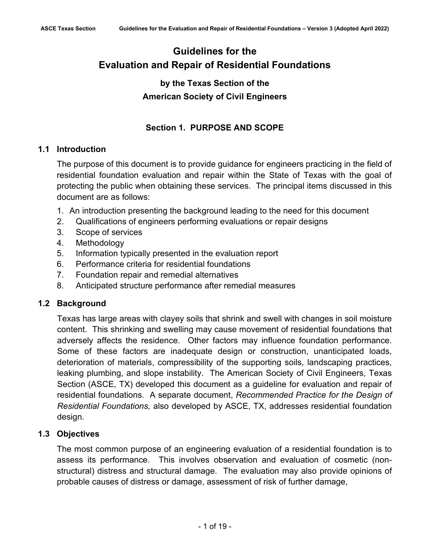# <span id="page-8-1"></span><span id="page-8-0"></span>**Guidelines for the Evaluation and Repair of Residential Foundations**

# **by the Texas Section of the American Society of Civil Engineers**

# **Section 1. PURPOSE AND SCOPE**

# <span id="page-8-4"></span><span id="page-8-3"></span><span id="page-8-2"></span>**1.1 Introduction**

The purpose of this document is to provide guidance for engineers practicing in the field of residential foundation evaluation and repair within the State of Texas with the goal of protecting the public when obtaining these services. The principal items discussed in this document are as follows:

- 1. An introduction presenting the background leading to the need for this document
- 2. Qualifications of engineers performing evaluations or repair designs
- 3. Scope of services
- 4. Methodology
- 5. Information typically presented in the evaluation report
- 6. Performance criteria for residential foundations
- 7. Foundation repair and remedial alternatives
- 8. Anticipated structure performance after remedial measures

# <span id="page-8-5"></span>**1.2 Background**

Texas has large areas with clayey soils that shrink and swell with changes in soil moisture content. This shrinking and swelling may cause movement of residential foundations that adversely affects the residence. Other factors may influence foundation performance. Some of these factors are inadequate design or construction, unanticipated loads, deterioration of materials, compressibility of the supporting soils, landscaping practices, leaking plumbing, and slope instability. The American Society of Civil Engineers, Texas Section (ASCE, TX) developed this document as a guideline for evaluation and repair of residential foundations. A separate document, *Recommended Practice for the Design of Residential Foundations,* also developed by ASCE, TX, addresses residential foundation design.

# <span id="page-8-6"></span>**1.3 Objectives**

The most common purpose of an engineering evaluation of a residential foundation is to assess its performance. This involves observation and evaluation of cosmetic (nonstructural) distress and structural damage. The evaluation may also provide opinions of probable causes of distress or damage, assessment of risk of further damage,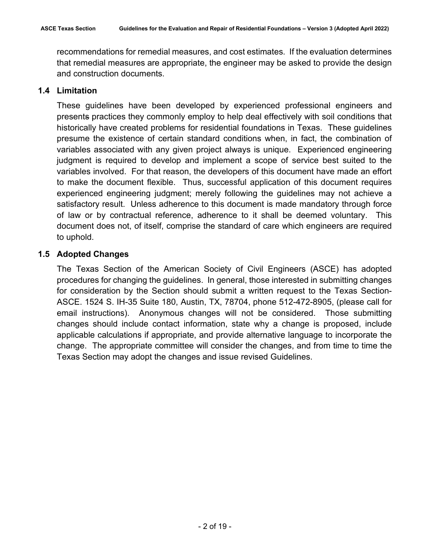recommendations for remedial measures, and cost estimates. If the evaluation determines that remedial measures are appropriate, the engineer may be asked to provide the design and construction documents.

#### <span id="page-9-0"></span>**1.4 Limitation**

These guidelines have been developed by experienced professional engineers and presents practices they commonly employ to help deal effectively with soil conditions that historically have created problems for residential foundations in Texas. These guidelines presume the existence of certain standard conditions when, in fact, the combination of variables associated with any given project always is unique. Experienced engineering judgment is required to develop and implement a scope of service best suited to the variables involved. For that reason, the developers of this document have made an effort to make the document flexible. Thus, successful application of this document requires experienced engineering judgment; merely following the guidelines may not achieve a satisfactory result. Unless adherence to this document is made mandatory through force of law or by contractual reference, adherence to it shall be deemed voluntary. This document does not, of itself, comprise the standard of care which engineers are required to uphold.

# <span id="page-9-1"></span>**1.5 Adopted Changes**

The Texas Section of the American Society of Civil Engineers (ASCE) has adopted procedures for changing the guidelines. In general, those interested in submitting changes for consideration by the Section should submit a written request to the Texas Section-ASCE. 1524 S. IH-35 Suite 180, Austin, TX, 78704, phone 512-472-8905, (please call for email instructions). Anonymous changes will not be considered. Those submitting changes should include contact information, state why a change is proposed, include applicable calculations if appropriate, and provide alternative language to incorporate the change. The appropriate committee will consider the changes, and from time to time the Texas Section may adopt the changes and issue revised Guidelines.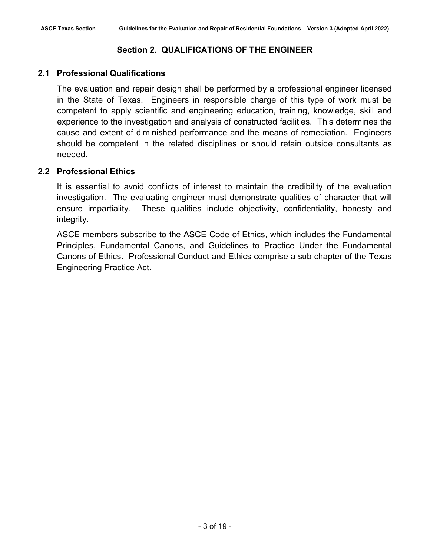# **Section 2. QUALIFICATIONS OF THE ENGINEER**

# <span id="page-10-1"></span><span id="page-10-0"></span>**2.1 Professional Qualifications**

The evaluation and repair design shall be performed by a professional engineer licensed in the State of Texas. Engineers in responsible charge of this type of work must be competent to apply scientific and engineering education, training, knowledge, skill and experience to the investigation and analysis of constructed facilities. This determines the cause and extent of diminished performance and the means of remediation. Engineers should be competent in the related disciplines or should retain outside consultants as needed.

# <span id="page-10-2"></span>**2.2 Professional Ethics**

It is essential to avoid conflicts of interest to maintain the credibility of the evaluation investigation. The evaluating engineer must demonstrate qualities of character that will ensure impartiality. These qualities include objectivity, confidentiality, honesty and integrity.

ASCE members subscribe to the ASCE Code of Ethics, which includes the Fundamental Principles, Fundamental Canons, and Guidelines to Practice Under the Fundamental Canons of Ethics. Professional Conduct and Ethics comprise a sub chapter of the Texas Engineering Practice Act.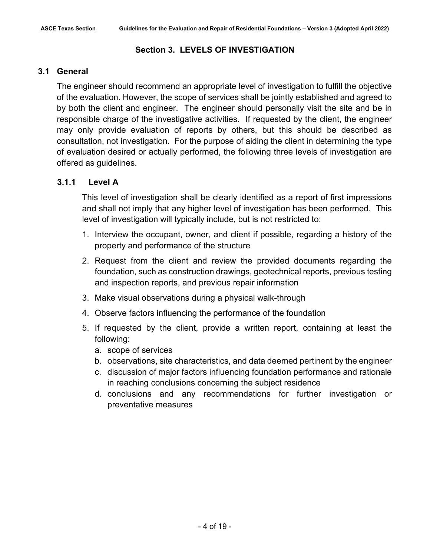# **Section 3. LEVELS OF INVESTIGATION**

# <span id="page-11-1"></span><span id="page-11-0"></span>**3.1 General**

The engineer should recommend an appropriate level of investigation to fulfill the objective of the evaluation. However, the scope of services shall be jointly established and agreed to by both the client and engineer. The engineer should personally visit the site and be in responsible charge of the investigative activities. If requested by the client, the engineer may only provide evaluation of reports by others, but this should be described as consultation, not investigation. For the purpose of aiding the client in determining the type of evaluation desired or actually performed, the following three levels of investigation are offered as guidelines.

# **3.1.1 Level A**

This level of investigation shall be clearly identified as a report of first impressions and shall not imply that any higher level of investigation has been performed. This level of investigation will typically include, but is not restricted to:

- 1. Interview the occupant, owner, and client if possible, regarding a history of the property and performance of the structure
- 2. Request from the client and review the provided documents regarding the foundation, such as construction drawings, geotechnical reports, previous testing and inspection reports, and previous repair information
- 3. Make visual observations during a physical walk-through
- 4. Observe factors influencing the performance of the foundation
- 5. If requested by the client, provide a written report, containing at least the following:
	- a. scope of services
	- b. observations, site characteristics, and data deemed pertinent by the engineer
	- c. discussion of major factors influencing foundation performance and rationale in reaching conclusions concerning the subject residence
	- d. conclusions and any recommendations for further investigation or preventative measures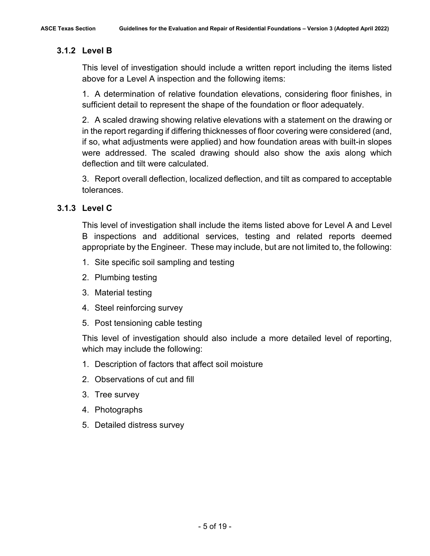# **3.1.2 Level B**

This level of investigation should include a written report including the items listed above for a Level A inspection and the following items:

1. A determination of relative foundation elevations, considering floor finishes, in sufficient detail to represent the shape of the foundation or floor adequately.

2. A scaled drawing showing relative elevations with a statement on the drawing or in the report regarding if differing thicknesses of floor covering were considered (and, if so, what adjustments were applied) and how foundation areas with built-in slopes were addressed. The scaled drawing should also show the axis along which deflection and tilt were calculated.

3. Report overall deflection, localized deflection, and tilt as compared to acceptable tolerances.

# **3.1.3 Level C**

This level of investigation shall include the items listed above for Level A and Level B inspections and additional services, testing and related reports deemed appropriate by the Engineer. These may include, but are not limited to, the following:

- 1. Site specific soil sampling and testing
- 2. Plumbing testing
- 3. Material testing
- 4. Steel reinforcing survey
- 5. Post tensioning cable testing

This level of investigation should also include a more detailed level of reporting, which may include the following:

- 1. Description of factors that affect soil moisture
- 2. Observations of cut and fill
- 3. Tree survey
- 4. Photographs
- 5. Detailed distress survey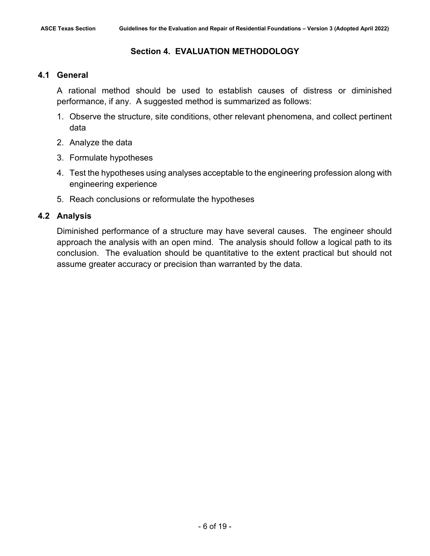# <span id="page-13-1"></span><span id="page-13-0"></span>**4.1 General**

A rational method should be used to establish causes of distress or diminished performance, if any. A suggested method is summarized as follows:

- 1. Observe the structure, site conditions, other relevant phenomena, and collect pertinent data
- 2. Analyze the data
- 3. Formulate hypotheses
- 4. Test the hypotheses using analyses acceptable to the engineering profession along with engineering experience
- 5. Reach conclusions or reformulate the hypotheses

# <span id="page-13-2"></span>**4.2 Analysis**

Diminished performance of a structure may have several causes. The engineer should approach the analysis with an open mind. The analysis should follow a logical path to its conclusion. The evaluation should be quantitative to the extent practical but should not assume greater accuracy or precision than warranted by the data.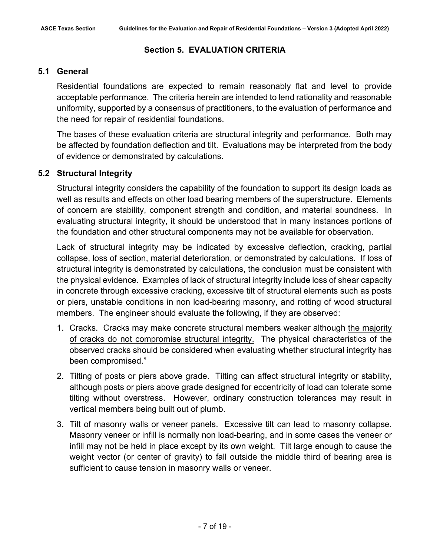# **Section 5. EVALUATION CRITERIA**

# <span id="page-14-1"></span><span id="page-14-0"></span>**5.1 General**

Residential foundations are expected to remain reasonably flat and level to provide acceptable performance. The criteria herein are intended to lend rationality and reasonable uniformity, supported by a consensus of practitioners, to the evaluation of performance and the need for repair of residential foundations.

The bases of these evaluation criteria are structural integrity and performance. Both may be affected by foundation deflection and tilt. Evaluations may be interpreted from the body of evidence or demonstrated by calculations.

# <span id="page-14-2"></span>**5.2 Structural Integrity**

Structural integrity considers the capability of the foundation to support its design loads as well as results and effects on other load bearing members of the superstructure. Elements of concern are stability, component strength and condition, and material soundness. In evaluating structural integrity, it should be understood that in many instances portions of the foundation and other structural components may not be available for observation.

Lack of structural integrity may be indicated by excessive deflection, cracking, partial collapse, loss of section, material deterioration, or demonstrated by calculations. If loss of structural integrity is demonstrated by calculations, the conclusion must be consistent with the physical evidence. Examples of lack of structural integrity include loss of shear capacity in concrete through excessive cracking, excessive tilt of structural elements such as posts or piers, unstable conditions in non load-bearing masonry, and rotting of wood structural members. The engineer should evaluate the following, if they are observed:

- 1. Cracks. Cracks may make concrete structural members weaker although the majority of cracks do not compromise structural integrity. The physical characteristics of the observed cracks should be considered when evaluating whether structural integrity has been compromised."
- 2. Tilting of posts or piers above grade. Tilting can affect structural integrity or stability, although posts or piers above grade designed for eccentricity of load can tolerate some tilting without overstress. However, ordinary construction tolerances may result in vertical members being built out of plumb.
- 3. Tilt of masonry walls or veneer panels. Excessive tilt can lead to masonry collapse. Masonry veneer or infill is normally non load-bearing, and in some cases the veneer or infill may not be held in place except by its own weight. Tilt large enough to cause the weight vector (or center of gravity) to fall outside the middle third of bearing area is sufficient to cause tension in masonry walls or veneer.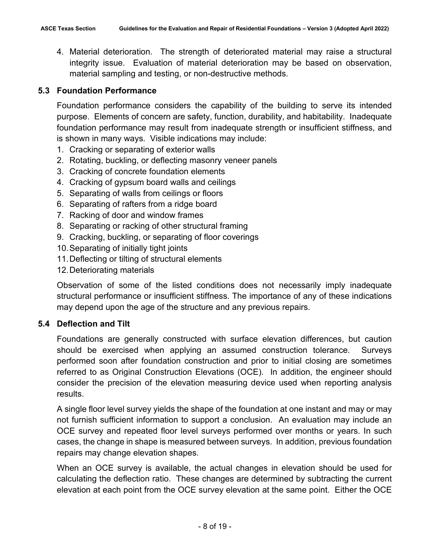4. Material deterioration. The strength of deteriorated material may raise a structural integrity issue. Evaluation of material deterioration may be based on observation, material sampling and testing, or non-destructive methods.

# <span id="page-15-0"></span>**5.3 Foundation Performance**

Foundation performance considers the capability of the building to serve its intended purpose. Elements of concern are safety, function, durability, and habitability. Inadequate foundation performance may result from inadequate strength or insufficient stiffness, and is shown in many ways. Visible indications may include:

- 1. Cracking or separating of exterior walls
- 2. Rotating, buckling, or deflecting masonry veneer panels
- 3. Cracking of concrete foundation elements
- 4. Cracking of gypsum board walls and ceilings
- 5. Separating of walls from ceilings or floors
- 6. Separating of rafters from a ridge board
- 7. Racking of door and window frames
- 8. Separating or racking of other structural framing
- 9. Cracking, buckling, or separating of floor coverings
- 10.Separating of initially tight joints
- 11.Deflecting or tilting of structural elements
- 12.Deteriorating materials

Observation of some of the listed conditions does not necessarily imply inadequate structural performance or insufficient stiffness. The importance of any of these indications may depend upon the age of the structure and any previous repairs.

# <span id="page-15-1"></span>**5.4 Deflection and Tilt**

Foundations are generally constructed with surface elevation differences, but caution should be exercised when applying an assumed construction tolerance. Surveys performed soon after foundation construction and prior to initial closing are sometimes referred to as Original Construction Elevations (OCE). In addition, the engineer should consider the precision of the elevation measuring device used when reporting analysis results.

A single floor level survey yields the shape of the foundation at one instant and may or may not furnish sufficient information to support a conclusion. An evaluation may include an OCE survey and repeated floor level surveys performed over months or years. In such cases, the change in shape is measured between surveys. In addition, previous foundation repairs may change elevation shapes.

When an OCE survey is available, the actual changes in elevation should be used for calculating the deflection ratio. These changes are determined by subtracting the current elevation at each point from the OCE survey elevation at the same point. Either the OCE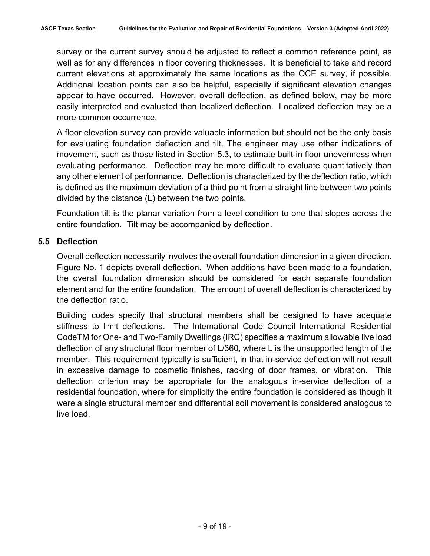survey or the current survey should be adjusted to reflect a common reference point, as well as for any differences in floor covering thicknesses. It is beneficial to take and record current elevations at approximately the same locations as the OCE survey, if possible. Additional location points can also be helpful, especially if significant elevation changes appear to have occurred. However, overall deflection, as defined below, may be more easily interpreted and evaluated than localized deflection. Localized deflection may be a more common occurrence.

A floor elevation survey can provide valuable information but should not be the only basis for evaluating foundation deflection and tilt. The engineer may use other indications of movement, such as those listed in Section 5.3, to estimate built-in floor unevenness when evaluating performance. Deflection may be more difficult to evaluate quantitatively than any other element of performance. Deflection is characterized by the deflection ratio, which is defined as the maximum deviation of a third point from a straight line between two points divided by the distance (L) between the two points.

Foundation tilt is the planar variation from a level condition to one that slopes across the entire foundation. Tilt may be accompanied by deflection.

#### <span id="page-16-0"></span>**5.5 Deflection**

Overall deflection necessarily involves the overall foundation dimension in a given direction. Figure No. 1 depicts overall deflection. When additions have been made to a foundation, the overall foundation dimension should be considered for each separate foundation element and for the entire foundation. The amount of overall deflection is characterized by the deflection ratio.

Building codes specify that structural members shall be designed to have adequate stiffness to limit deflections. The International Code Council International Residential CodeTM for One- and Two-Family Dwellings (IRC) specifies a maximum allowable live load deflection of any structural floor member of L/360, where L is the unsupported length of the member. This requirement typically is sufficient, in that in-service deflection will not result in excessive damage to cosmetic finishes, racking of door frames, or vibration. This deflection criterion may be appropriate for the analogous in-service deflection of a residential foundation, where for simplicity the entire foundation is considered as though it were a single structural member and differential soil movement is considered analogous to live load.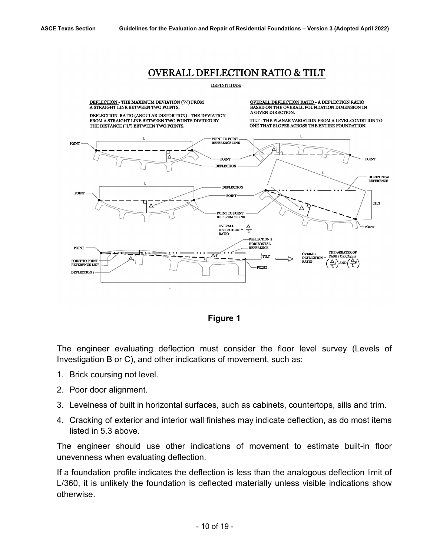# **OVERALL DEFLECTION RATIO & TILT**

#### DEFINITIONS:



**Figure 1**

The engineer evaluating deflection must consider the floor level survey (Levels of Investigation B or C), and other indications of movement, such as:

- 1. Brick coursing not level.
- 2. Poor door alignment.
- 3. Levelness of built in horizontal surfaces, such as cabinets, countertops, sills and trim.
- 4. Cracking of exterior and interior wall finishes may indicate deflection, as do most items listed in 5.3 above.

The engineer should use other indications of movement to estimate built-in floor unevenness when evaluating deflection.

If a foundation profile indicates the deflection is less than the analogous deflection limit of L/360, it is unlikely the foundation is deflected materially unless visible indications show otherwise.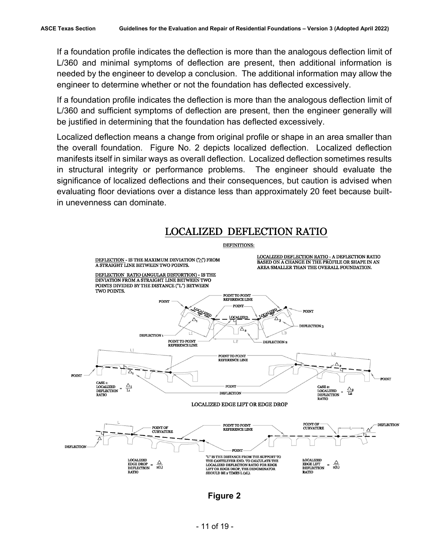If a foundation profile indicates the deflection is more than the analogous deflection limit of L/360 and minimal symptoms of deflection are present, then additional information is needed by the engineer to develop a conclusion. The additional information may allow the engineer to determine whether or not the foundation has deflected excessively.

If a foundation profile indicates the deflection is more than the analogous deflection limit of L/360 and sufficient symptoms of deflection are present, then the engineer generally will be justified in determining that the foundation has deflected excessively.

Localized deflection means a change from original profile or shape in an area smaller than the overall foundation. Figure No. 2 depicts localized deflection. Localized deflection manifests itself in similar ways as overall deflection. Localized deflection sometimes results in structural integrity or performance problems. The engineer should evaluate the significance of localized deflections and their consequences, but caution is advised when evaluating floor deviations over a distance less than approximately 20 feet because builtin unevenness can dominate.



**Figure 2**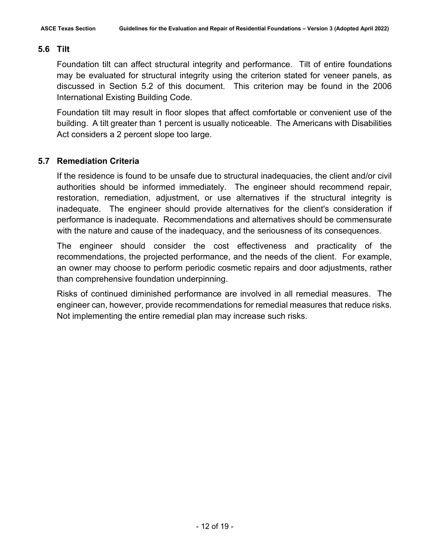# <span id="page-19-0"></span>**5.6 Tilt**

Foundation tilt can affect structural integrity and performance. Tilt of entire foundations may be evaluated for structural integrity using the criterion stated for veneer panels, as discussed in Section 5.2 of this document. This criterion may be found in the 2006 International Existing Building Code.

Foundation tilt may result in floor slopes that affect comfortable or convenient use of the building. A tilt greater than 1 percent is usually noticeable. The Americans with Disabilities Act considers a 2 percent slope too large.

# <span id="page-19-1"></span>**5.7 Remediation Criteria**

If the residence is found to be unsafe due to structural inadequacies, the client and/or civil authorities should be informed immediately. The engineer should recommend repair, restoration, remediation, adjustment, or use alternatives if the structural integrity is inadequate. The engineer should provide alternatives for the client's consideration if performance is inadequate. Recommendations and alternatives should be commensurate with the nature and cause of the inadequacy, and the seriousness of its consequences.

The engineer should consider the cost effectiveness and practicality of the recommendations, the projected performance, and the needs of the client. For example, an owner may choose to perform periodic cosmetic repairs and door adjustments, rather than comprehensive foundation underpinning.

Risks of continued diminished performance are involved in all remedial measures. The engineer can, however, provide recommendations for remedial measures that reduce risks. Not implementing the entire remedial plan may increase such risks.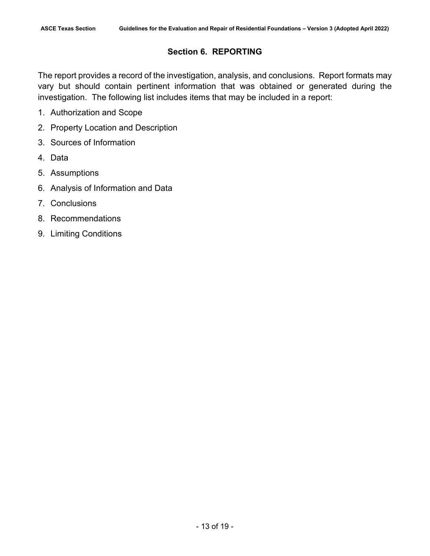# **Section 6. REPORTING**

<span id="page-20-0"></span>The report provides a record of the investigation, analysis, and conclusions. Report formats may vary but should contain pertinent information that was obtained or generated during the investigation. The following list includes items that may be included in a report:

- 1. Authorization and Scope
- 2. Property Location and Description
- 3. Sources of Information
- 4. Data
- 5. Assumptions
- 6. Analysis of Information and Data
- 7. Conclusions
- 8. Recommendations
- 9. Limiting Conditions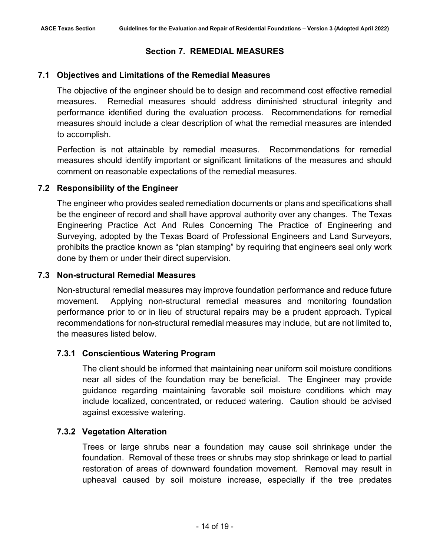# <span id="page-21-1"></span><span id="page-21-0"></span>**7.1 Objectives and Limitations of the Remedial Measures**

The objective of the engineer should be to design and recommend cost effective remedial measures. Remedial measures should address diminished structural integrity and performance identified during the evaluation process. Recommendations for remedial measures should include a clear description of what the remedial measures are intended to accomplish.

Perfection is not attainable by remedial measures. Recommendations for remedial measures should identify important or significant limitations of the measures and should comment on reasonable expectations of the remedial measures.

# <span id="page-21-2"></span>**7.2 Responsibility of the Engineer**

The engineer who provides sealed remediation documents or plans and specifications shall be the engineer of record and shall have approval authority over any changes. The Texas Engineering Practice Act And Rules Concerning The Practice of Engineering and Surveying, adopted by the Texas Board of Professional Engineers and Land Surveyors, prohibits the practice known as "plan stamping" by requiring that engineers seal only work done by them or under their direct supervision.

# <span id="page-21-3"></span>**7.3 Non-structural Remedial Measures**

Non-structural remedial measures may improve foundation performance and reduce future movement. Applying non-structural remedial measures and monitoring foundation performance prior to or in lieu of structural repairs may be a prudent approach. Typical recommendations for non-structural remedial measures may include, but are not limited to, the measures listed below.

# **7.3.1 Conscientious Watering Program**

The client should be informed that maintaining near uniform soil moisture conditions near all sides of the foundation may be beneficial. The Engineer may provide guidance regarding maintaining favorable soil moisture conditions which may include localized, concentrated, or reduced watering. Caution should be advised against excessive watering.

# **7.3.2 Vegetation Alteration**

Trees or large shrubs near a foundation may cause soil shrinkage under the foundation. Removal of these trees or shrubs may stop shrinkage or lead to partial restoration of areas of downward foundation movement. Removal may result in upheaval caused by soil moisture increase, especially if the tree predates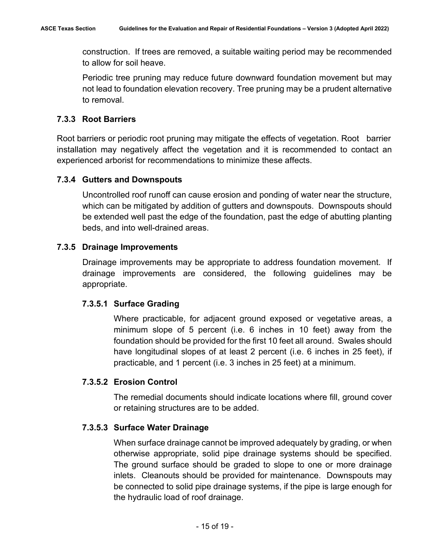construction. If trees are removed, a suitable waiting period may be recommended to allow for soil heave.

Periodic tree pruning may reduce future downward foundation movement but may not lead to foundation elevation recovery. Tree pruning may be a prudent alternative to removal.

# **7.3.3 Root Barriers**

Root barriers or periodic root pruning may mitigate the effects of vegetation. Root barrier installation may negatively affect the vegetation and it is recommended to contact an experienced arborist for recommendations to minimize these affects.

# **7.3.4 Gutters and Downspouts**

Uncontrolled roof runoff can cause erosion and ponding of water near the structure, which can be mitigated by addition of gutters and downspouts. Downspouts should be extended well past the edge of the foundation, past the edge of abutting planting beds, and into well-drained areas.

# **7.3.5 Drainage Improvements**

Drainage improvements may be appropriate to address foundation movement. If drainage improvements are considered, the following guidelines may be appropriate.

# **7.3.5.1 Surface Grading**

Where practicable, for adjacent ground exposed or vegetative areas, a minimum slope of 5 percent (i.e. 6 inches in 10 feet) away from the foundation should be provided for the first 10 feet all around. Swales should have longitudinal slopes of at least 2 percent (i.e. 6 inches in 25 feet), if practicable, and 1 percent (i.e. 3 inches in 25 feet) at a minimum.

# **7.3.5.2 Erosion Control**

The remedial documents should indicate locations where fill, ground cover or retaining structures are to be added.

# **7.3.5.3 Surface Water Drainage**

When surface drainage cannot be improved adequately by grading, or when otherwise appropriate, solid pipe drainage systems should be specified. The ground surface should be graded to slope to one or more drainage inlets. Cleanouts should be provided for maintenance. Downspouts may be connected to solid pipe drainage systems, if the pipe is large enough for the hydraulic load of roof drainage.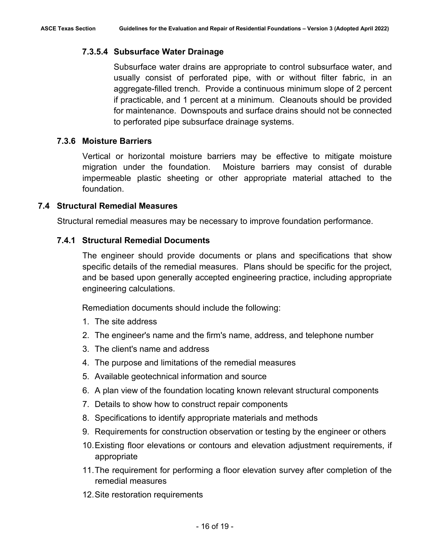# **7.3.5.4 Subsurface Water Drainage**

Subsurface water drains are appropriate to control subsurface water, and usually consist of perforated pipe, with or without filter fabric, in an aggregate-filled trench. Provide a continuous minimum slope of 2 percent if practicable, and 1 percent at a minimum. Cleanouts should be provided for maintenance. Downspouts and surface drains should not be connected to perforated pipe subsurface drainage systems.

# **7.3.6 Moisture Barriers**

Vertical or horizontal moisture barriers may be effective to mitigate moisture migration under the foundation. Moisture barriers may consist of durable impermeable plastic sheeting or other appropriate material attached to the foundation.

#### <span id="page-23-0"></span>**7.4 Structural Remedial Measures**

Structural remedial measures may be necessary to improve foundation performance.

#### **7.4.1 Structural Remedial Documents**

The engineer should provide documents or plans and specifications that show specific details of the remedial measures. Plans should be specific for the project, and be based upon generally accepted engineering practice, including appropriate engineering calculations.

Remediation documents should include the following:

- 1. The site address
- 2. The engineer's name and the firm's name, address, and telephone number
- 3. The client's name and address
- 4. The purpose and limitations of the remedial measures
- 5. Available geotechnical information and source
- 6. A plan view of the foundation locating known relevant structural components
- 7. Details to show how to construct repair components
- 8. Specifications to identify appropriate materials and methods
- 9. Requirements for construction observation or testing by the engineer or others
- 10.Existing floor elevations or contours and elevation adjustment requirements, if appropriate
- 11.The requirement for performing a floor elevation survey after completion of the remedial measures
- 12.Site restoration requirements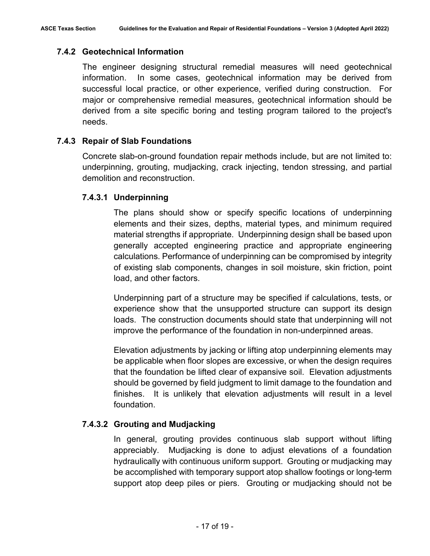# **7.4.2 Geotechnical Information**

The engineer designing structural remedial measures will need geotechnical information. In some cases, geotechnical information may be derived from successful local practice, or other experience, verified during construction. For major or comprehensive remedial measures, geotechnical information should be derived from a site specific boring and testing program tailored to the project's needs.

# **7.4.3 Repair of Slab Foundations**

Concrete slab-on-ground foundation repair methods include, but are not limited to: underpinning, grouting, mudjacking, crack injecting, tendon stressing, and partial demolition and reconstruction.

# **7.4.3.1 Underpinning**

The plans should show or specify specific locations of underpinning elements and their sizes, depths, material types, and minimum required material strengths if appropriate. Underpinning design shall be based upon generally accepted engineering practice and appropriate engineering calculations. Performance of underpinning can be compromised by integrity of existing slab components, changes in soil moisture, skin friction, point load, and other factors.

Underpinning part of a structure may be specified if calculations, tests, or experience show that the unsupported structure can support its design loads. The construction documents should state that underpinning will not improve the performance of the foundation in non-underpinned areas.

Elevation adjustments by jacking or lifting atop underpinning elements may be applicable when floor slopes are excessive, or when the design requires that the foundation be lifted clear of expansive soil. Elevation adjustments should be governed by field judgment to limit damage to the foundation and finishes. It is unlikely that elevation adjustments will result in a level foundation.

# **7.4.3.2 Grouting and Mudjacking**

In general, grouting provides continuous slab support without lifting appreciably. Mudjacking is done to adjust elevations of a foundation hydraulically with continuous uniform support. Grouting or mudjacking may be accomplished with temporary support atop shallow footings or long-term support atop deep piles or piers. Grouting or mudjacking should not be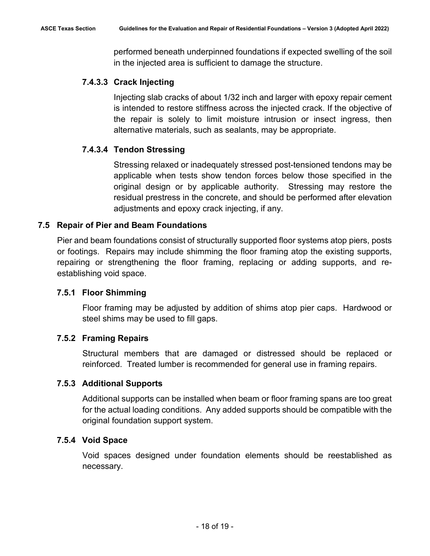performed beneath underpinned foundations if expected swelling of the soil in the injected area is sufficient to damage the structure.

# **7.4.3.3 Crack Injecting**

Injecting slab cracks of about 1/32 inch and larger with epoxy repair cement is intended to restore stiffness across the injected crack. If the objective of the repair is solely to limit moisture intrusion or insect ingress, then alternative materials, such as sealants, may be appropriate.

# **7.4.3.4 Tendon Stressing**

Stressing relaxed or inadequately stressed post-tensioned tendons may be applicable when tests show tendon forces below those specified in the original design or by applicable authority. Stressing may restore the residual prestress in the concrete, and should be performed after elevation adjustments and epoxy crack injecting, if any.

# <span id="page-25-0"></span>**7.5 Repair of Pier and Beam Foundations**

Pier and beam foundations consist of structurally supported floor systems atop piers, posts or footings. Repairs may include shimming the floor framing atop the existing supports, repairing or strengthening the floor framing, replacing or adding supports, and reestablishing void space.

# **7.5.1 Floor Shimming**

Floor framing may be adjusted by addition of shims atop pier caps. Hardwood or steel shims may be used to fill gaps.

# **7.5.2 Framing Repairs**

Structural members that are damaged or distressed should be replaced or reinforced. Treated lumber is recommended for general use in framing repairs.

# **7.5.3 Additional Supports**

Additional supports can be installed when beam or floor framing spans are too great for the actual loading conditions. Any added supports should be compatible with the original foundation support system.

# **7.5.4 Void Space**

Void spaces designed under foundation elements should be reestablished as necessary.